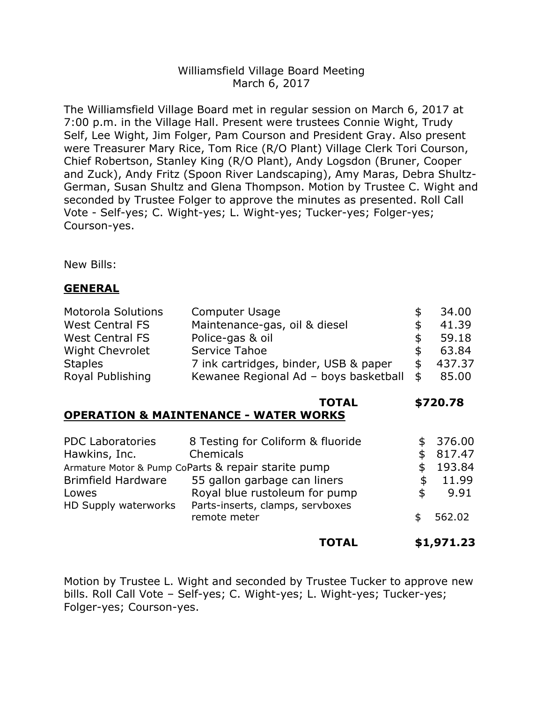## Williamsfield Village Board Meeting March 6, 2017

The Williamsfield Village Board met in regular session on March 6, 2017 at 7:00 p.m. in the Village Hall. Present were trustees Connie Wight, Trudy Self, Lee Wight, Jim Folger, Pam Courson and President Gray. Also present were Treasurer Mary Rice, Tom Rice (R/O Plant) Village Clerk Tori Courson, Chief Robertson, Stanley King (R/O Plant), Andy Logsdon (Bruner, Cooper and Zuck), Andy Fritz (Spoon River Landscaping), Amy Maras, Debra Shultz-German, Susan Shultz and Glena Thompson. Motion by Trustee C. Wight and seconded by Trustee Folger to approve the minutes as presented. Roll Call Vote - Self-yes; C. Wight-yes; L. Wight-yes; Tucker-yes; Folger-yes; Courson-yes.

New Bills:

#### **GENERAL**

| <b>Motorola Solutions</b> | <b>Computer Usage</b>                 |     | 34.00  |
|---------------------------|---------------------------------------|-----|--------|
| <b>West Central FS</b>    | Maintenance-gas, oil & diesel         | \$. | 41.39  |
| <b>West Central FS</b>    | Police-gas & oil                      | \$. | 59.18  |
| <b>Wight Chevrolet</b>    | Service Tahoe                         | \$  | 63.84  |
| <b>Staples</b>            | 7 ink cartridges, binder, USB & paper | \$  | 437.37 |
| Royal Publishing          | Kewanee Regional Ad - boys basketball | \$  | 85.00  |

# **TOTAL \$720.78**

# **OPERATION & MAINTENANCE - WATER WORKS**

| <b>PDC Laboratories</b>                             | 8 Testing for Coliform & fluoride | \$. | 376.00 |
|-----------------------------------------------------|-----------------------------------|-----|--------|
| Hawkins, Inc.                                       | Chemicals                         | \$  | 817.47 |
| Armature Motor & Pump CoParts & repair starite pump |                                   |     | 193.84 |
| <b>Brimfield Hardware</b>                           | 55 gallon garbage can liners      |     | 11.99  |
| Lowes                                               | Royal blue rustoleum for pump     | \$. | 9.91   |
| HD Supply waterworks                                | Parts-inserts, clamps, servboxes  |     |        |
|                                                     | remote meter                      |     | 562.02 |
|                                                     |                                   |     |        |

### **TOTAL \$1,971.23**

Motion by Trustee L. Wight and seconded by Trustee Tucker to approve new bills. Roll Call Vote – Self-yes; C. Wight-yes; L. Wight-yes; Tucker-yes; Folger-yes; Courson-yes.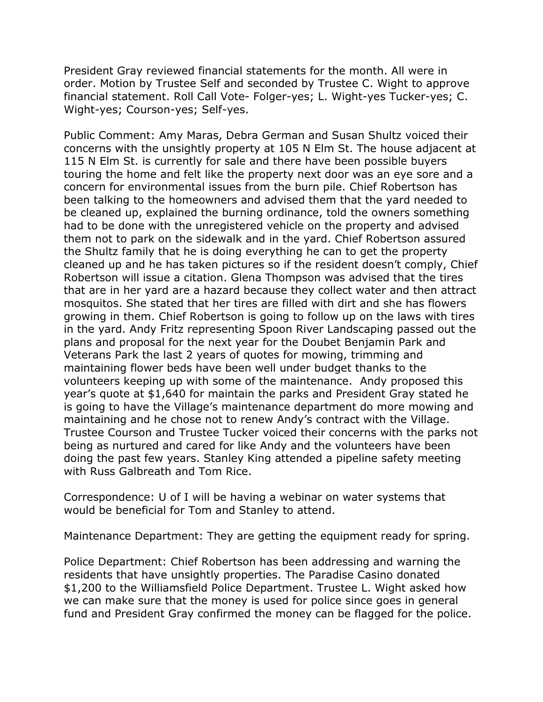President Gray reviewed financial statements for the month. All were in order. Motion by Trustee Self and seconded by Trustee C. Wight to approve financial statement. Roll Call Vote- Folger-yes; L. Wight-yes Tucker-yes; C. Wight-yes; Courson-yes; Self-yes.

Public Comment: Amy Maras, Debra German and Susan Shultz voiced their concerns with the unsightly property at 105 N Elm St. The house adjacent at 115 N Elm St. is currently for sale and there have been possible buyers touring the home and felt like the property next door was an eye sore and a concern for environmental issues from the burn pile. Chief Robertson has been talking to the homeowners and advised them that the yard needed to be cleaned up, explained the burning ordinance, told the owners something had to be done with the unregistered vehicle on the property and advised them not to park on the sidewalk and in the yard. Chief Robertson assured the Shultz family that he is doing everything he can to get the property cleaned up and he has taken pictures so if the resident doesn't comply, Chief Robertson will issue a citation. Glena Thompson was advised that the tires that are in her yard are a hazard because they collect water and then attract mosquitos. She stated that her tires are filled with dirt and she has flowers growing in them. Chief Robertson is going to follow up on the laws with tires in the yard. Andy Fritz representing Spoon River Landscaping passed out the plans and proposal for the next year for the Doubet Benjamin Park and Veterans Park the last 2 years of quotes for mowing, trimming and maintaining flower beds have been well under budget thanks to the volunteers keeping up with some of the maintenance. Andy proposed this year's quote at \$1,640 for maintain the parks and President Gray stated he is going to have the Village's maintenance department do more mowing and maintaining and he chose not to renew Andy's contract with the Village. Trustee Courson and Trustee Tucker voiced their concerns with the parks not being as nurtured and cared for like Andy and the volunteers have been doing the past few years. Stanley King attended a pipeline safety meeting with Russ Galbreath and Tom Rice.

Correspondence: U of I will be having a webinar on water systems that would be beneficial for Tom and Stanley to attend.

Maintenance Department: They are getting the equipment ready for spring.

Police Department: Chief Robertson has been addressing and warning the residents that have unsightly properties. The Paradise Casino donated \$1,200 to the Williamsfield Police Department. Trustee L. Wight asked how we can make sure that the money is used for police since goes in general fund and President Gray confirmed the money can be flagged for the police.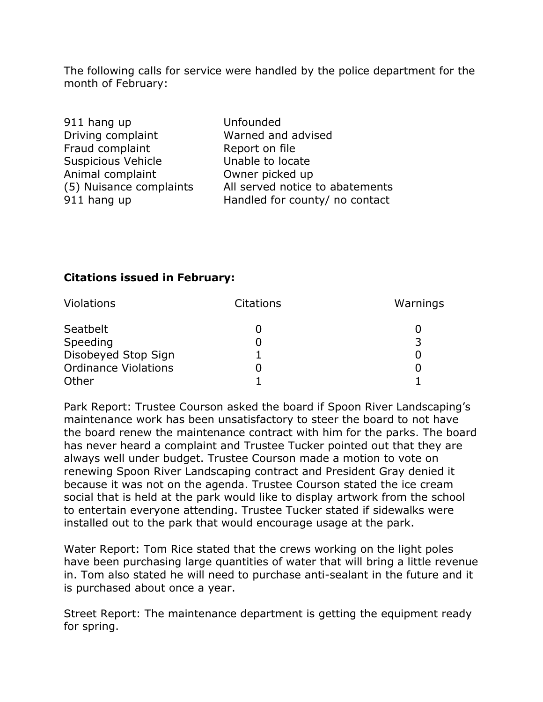The following calls for service were handled by the police department for the month of February:

| Unfounded                       |
|---------------------------------|
| Warned and advised              |
| Report on file                  |
| Unable to locate                |
| Owner picked up                 |
| All served notice to abatements |
| Handled for county/ no contact  |
|                                 |

### **Citations issued in February:**

| <b>Violations</b>           | <b>Citations</b> | Warnings |
|-----------------------------|------------------|----------|
| Seatbelt                    |                  |          |
| Speeding                    |                  |          |
| Disobeyed Stop Sign         |                  |          |
| <b>Ordinance Violations</b> |                  |          |
| Other                       |                  |          |

Park Report: Trustee Courson asked the board if Spoon River Landscaping's maintenance work has been unsatisfactory to steer the board to not have the board renew the maintenance contract with him for the parks. The board has never heard a complaint and Trustee Tucker pointed out that they are always well under budget. Trustee Courson made a motion to vote on renewing Spoon River Landscaping contract and President Gray denied it because it was not on the agenda. Trustee Courson stated the ice cream social that is held at the park would like to display artwork from the school to entertain everyone attending. Trustee Tucker stated if sidewalks were installed out to the park that would encourage usage at the park.

Water Report: Tom Rice stated that the crews working on the light poles have been purchasing large quantities of water that will bring a little revenue in. Tom also stated he will need to purchase anti-sealant in the future and it is purchased about once a year.

Street Report: The maintenance department is getting the equipment ready for spring.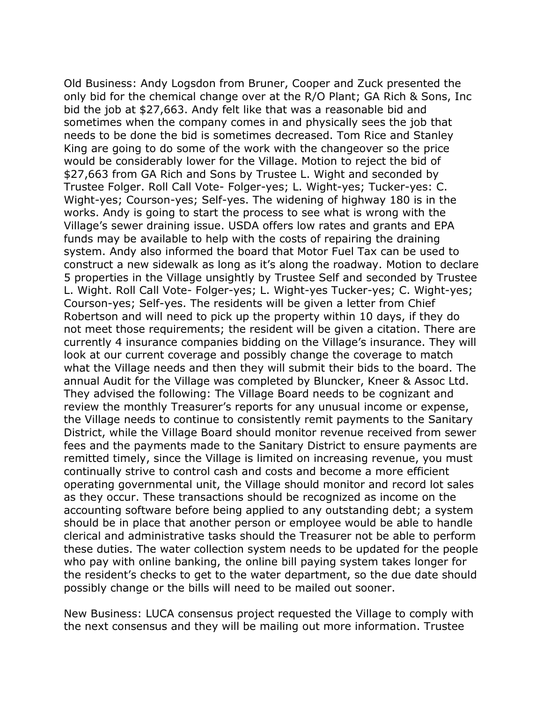Old Business: Andy Logsdon from Bruner, Cooper and Zuck presented the only bid for the chemical change over at the R/O Plant; GA Rich & Sons, Inc bid the job at \$27,663. Andy felt like that was a reasonable bid and sometimes when the company comes in and physically sees the job that needs to be done the bid is sometimes decreased. Tom Rice and Stanley King are going to do some of the work with the changeover so the price would be considerably lower for the Village. Motion to reject the bid of \$27,663 from GA Rich and Sons by Trustee L. Wight and seconded by Trustee Folger. Roll Call Vote- Folger-yes; L. Wight-yes; Tucker-yes: C. Wight-yes; Courson-yes; Self-yes. The widening of highway 180 is in the works. Andy is going to start the process to see what is wrong with the Village's sewer draining issue. USDA offers low rates and grants and EPA funds may be available to help with the costs of repairing the draining system. Andy also informed the board that Motor Fuel Tax can be used to construct a new sidewalk as long as it's along the roadway. Motion to declare 5 properties in the Village unsightly by Trustee Self and seconded by Trustee L. Wight. Roll Call Vote- Folger-yes; L. Wight-yes Tucker-yes; C. Wight-yes; Courson-yes; Self-yes. The residents will be given a letter from Chief Robertson and will need to pick up the property within 10 days, if they do not meet those requirements; the resident will be given a citation. There are currently 4 insurance companies bidding on the Village's insurance. They will look at our current coverage and possibly change the coverage to match what the Village needs and then they will submit their bids to the board. The annual Audit for the Village was completed by Bluncker, Kneer & Assoc Ltd. They advised the following: The Village Board needs to be cognizant and review the monthly Treasurer's reports for any unusual income or expense, the Village needs to continue to consistently remit payments to the Sanitary District, while the Village Board should monitor revenue received from sewer fees and the payments made to the Sanitary District to ensure payments are remitted timely, since the Village is limited on increasing revenue, you must continually strive to control cash and costs and become a more efficient operating governmental unit, the Village should monitor and record lot sales as they occur. These transactions should be recognized as income on the accounting software before being applied to any outstanding debt; a system should be in place that another person or employee would be able to handle clerical and administrative tasks should the Treasurer not be able to perform these duties. The water collection system needs to be updated for the people who pay with online banking, the online bill paying system takes longer for the resident's checks to get to the water department, so the due date should possibly change or the bills will need to be mailed out sooner.

New Business: LUCA consensus project requested the Village to comply with the next consensus and they will be mailing out more information. Trustee